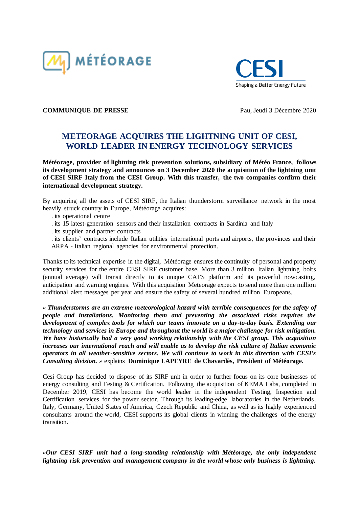



**COMMUNIQUE DE PRESSE** Pau, Jeudi 3 Décembre 2020

# **METEORAGE ACQUIRES THE LIGHTNING UNIT OF CESI, WORLD LEADER IN ENERGY TECHNOLOGY SERVICES**

**Météorage, provider of lightning risk prevention solutions, subsidiary of Météo France, follows its development strategy and announces on 3 December 2020 the acquisition of the lightning unit of CESI SIRF Italy from the CESI Group. With this transfer, the two companies confirm their international development strategy.**

By acquiring all the assets of CESI SIRF, the Italian thunderstorm surveillance network in the most heavily struck country in Europe, Météorage acquires:

- . its operational centre
- . its 15 latest-generation sensors and their installation contracts in Sardinia and Italy
- . its supplier and partner contracts

. its clients' contracts include Italian utilities international ports and airports, the provinces and their ARPA - Italian regional agencies for environmental protection.

Thanks to its technical expertise in the digital, Météorage ensures the continuity of personal and property security services for the entire CESI SIRF customer base. More than 3 million Italian lightning bolts (annual average) will transit directly to its unique CATS platform and its powerful nowcasting, anticipation and warning engines. With this acquisition Meteorage expects to send more than one million additional alert messages per year and ensure the safety of several hundred million Europeans.

*« Thunderstorms are an extreme meteorological hazard with terrible consequences for the safety of people and installations. Monitoring them and preventing the associated risks requires the development of complex tools for which our teams innovate on a day-to-day basis. Extending our technology and services in Europe and throughout the world is a major challenge for risk mitigation. We have historically had a very good working relationship with the CESI group. This acquisition increases our international reach and will enable us to develop the risk culture of Italian economic operators in all weather-sensitive sectors. We will continue to work in this direction with CESI's Consulting division. »* explains **Dominique LAPEYRE de Chavardès, President of Météorage.**

Cesi Group has decided to dispose of its SIRF unit in order to further focus on its core businesses of energy consulting and Testing & Certification. Following the acquisition of KEMA Labs, completed in December 2019, CESI has become the world leader in the independent Testing, Inspection and Certification services for the power sector. Through its leading-edge laboratories in the Netherlands, Italy, Germany, United States of America, Czech Republic and China, as well as its highly experienced consultants around the world, CESI supports its global clients in winning the challenges of the energy transition.

*«Our CESI SIRF unit had a long-standing relationship with Météorage, the only independent lightning risk prevention and management company in the world whose only business is lightning.*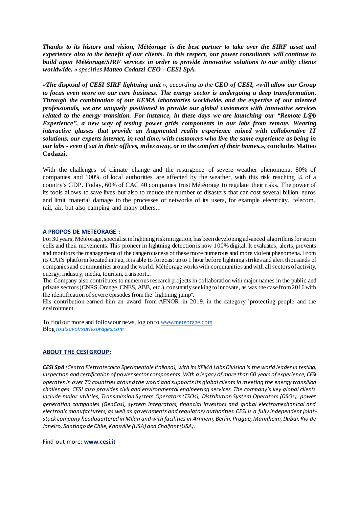*Thanks to its history and vision, Météorage is the best partner to take over the SIRF asset and experience also to the benefit of our clients. In this respect, our power consultants will continue to build upon Météorage/SIRF services in order to provide innovative solutions to our utility clients worldwide. » specifies Matteo Codazzi CEO - CESI SpA.* 

*«The disposal of CESI SIRF lightning unit », according to the CEO of CESI, «will allow our Group to focus even more on our core business. The energy sector is undergoing a deep transformation. Through the combination of our KEMA laboratories worldwide, and the expertise of our talented professionals, we are uniquely positioned to provide our global customers with innovative services related to the energy transition. For instance, in these days we are launching our "Remote L@b Experience", a new way of testing power grids components in our labs from remote. Wearing interactive glasses that provide an Augmented reality experience mixed with collaborative IT solutions, our experts interact, in real time, with customers who live the same experience as being in our labs - even if sat in their offices, miles away, or in the comfort of their homes.»,* **concludes Matteo Codazzi.**

With the challenges of climate change and the resurgence of severe weather phenomena, 80% of companies and 100% of local authorities are affected by the weather, with this risk reaching  $\frac{1}{4}$  of a country's GDP. Today, 60% of CAC 40 companies trust Météorage to regulate their risks. The power of its tools allows to save lives but also to reduce the number of disasters that can cost several billion euros and limit material damage to the processes or networks of its users, for example electricity, telecom, rail, air, but also camping and many others...

#### **A PROPOS DE METEORAGE :**

For 30 years, Météorage, specialist in lightning risk mitigation, has been developing advanced algorithms for storm cells and their movements. This pioneer in lightning detection is now 100% digital. It evaluates, alerts, prevents and monitors the management of the dangerousness of these more numerous and more violent phenomena. From its CATS platform located in Pau, it is able to forecast up to 1 hour before lightning strikes and alert thousands of companies and communities around the world. Météorage works with communities and with allsectors of activity, energy, industry, media, tourism, transport...

The Company also contributes to numerous research projects in collaboration with major names in the public and private sectors (CNRS, Orange, CNES, ABB, etc.), constantly seeking to innovate, as was the case from 2016 with the identification of severe episodes from the "lightning jump".

His contribution earned him an award from AFNOR in 2019, in the category "protecting people and the environment.

To find out more and follow our news, log on t[o www.meteorage.com](http://www.meteorage.com/fr) Blog *[toutsavoirsurlesorages.com](file:///C:/Users/dapoigny/AppData/Local/Microsoft/Windows/INetCache/Content.Outlook/GU5P9IA1/toutsavoirsurlesorages.com)*

### **ABOUT THE CESI GROUP:**

*CESI SpA (Centro Elettrotecnico Sperimentale Italiano), with its KEMA Labs Division is the world leader in testing, inspection and certification of power sector components. With a legacy of more than 60 years of experience, CESI operates in over 70 countries around the world and supports its global clients in meeting the energy transition challenges. CESI also provides civil and environmental engineering services. The company's key global clients include major utilities, Transmission System Operators (TSOs), Distribution System Operators (DSOs), power generation companies (GenCos), system integrators, financial investors and global electromechanical and electronic manufacturers, as well as governments and regulatory authorities. CESI is a fully independent jointstock company headquartered in Milan and with facilities in Arnhem, Berlin, Prague, Mannheim, Dubai, Rio de Janeiro, Santiago de Chile, Knoxville (USA) and Chalfont (USA).*

Find out more: **www.cesi.it**